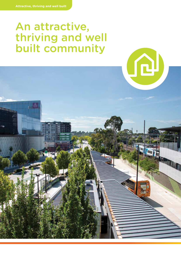# An attractive, thriving and well built community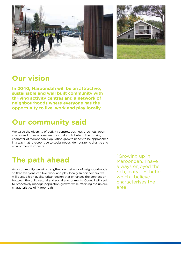

### **Our vision**

**In 2040, Maroondah will be an attractive, sustainable and well built community with thriving activity centres and a network of neighbourhoods where everyone has the opportunity to live, work and play locally.** 

## **Our community said**

We value the diversity of activity centres, business precincts, open spaces and other unique features that contribute to the thriving character of Maroondah. Population growth needs to be approached in a way that is responsive to social needs, demographic change and environmental impacts.

# **The path ahead**

As a community we will strengthen our network of neighbourhoods so that everyone can live, work and play locally. In partnership, we will pursue high quality urban design that enhances the connection between the built, natural and social environments. Council will seek to proactively manage population growth while retaining the unique characteristics of Maroondah.

"Growing up in Maroondah, I have always enjoyed the rich, leafy aesthetics which I believe characterises the area."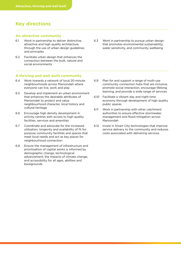### **Key directions**

#### **An attractive community**

- 6.1 Work in partnership to deliver distinctive, attractive and high quality architecture through the use of urban design guidelines and principles
- 6.2 Facilitate urban design that enhances the connection between the built, natural and social environments
- 6.3 Work in partnership to pursue urban design that promotes environmental sustainability, water sensitivity, and community wellbeing

### **A thriving and well built community**

- 6.4 Work towards a network of local 20-minute neighbourhoods across Maroondah where everyone can live, work and play
- 6.5 Develop and implement an urban environment that enhances the desirable attributes of Maroondah to protect and value neighbourhood character, local history and cultural heritage
- 6.6 Encourage high density development in activity centres with access to high quality facilities, services and amenities
- 6.7 Coordinate and advocate for the increased utilisation, longevity and availability of fit for purpose community facilities and spaces that meet local needs and act as key places for neighbourhood connection
- 6.8 Ensure the management of infrastructure and prioritisation of capital works is informed by demographic change, technological advancement, the impacts of climate change, and accessibility for all ages, abilities and backgrounds
- 6.9 Plan for and support a range of multi-use community connection hubs that are inclusive, promote social interaction, encourage lifelong learning, and provide a wide range of services
- 6.10 Facilitate a vibrant day and night time economy through development of high quality public spaces
- 6.11 Work in partnership with other catchment authorities to ensure effective stormwater management and flood mitigation across Maroondah
- 6.12 Invest in Smart City technologies that improve service delivery to the community and reduces costs associated with delivering services